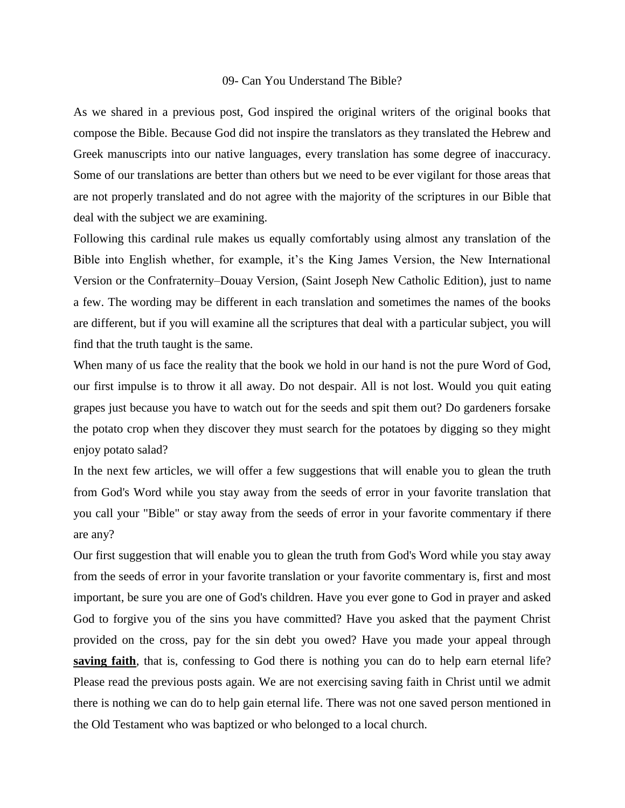## 09- Can You Understand The Bible?

As we shared in a previous post, God inspired the original writers of the original books that compose the Bible. Because God did not inspire the translators as they translated the Hebrew and Greek manuscripts into our native languages, every translation has some degree of inaccuracy. Some of our translations are better than others but we need to be ever vigilant for those areas that are not properly translated and do not agree with the majority of the scriptures in our Bible that deal with the subject we are examining.

Following this cardinal rule makes us equally comfortably using almost any translation of the Bible into English whether, for example, it's the King James Version, the New International Version or the Confraternity–Douay Version, (Saint Joseph New Catholic Edition), just to name a few. The wording may be different in each translation and sometimes the names of the books are different, but if you will examine all the scriptures that deal with a particular subject, you will find that the truth taught is the same.

When many of us face the reality that the book we hold in our hand is not the pure Word of God, our first impulse is to throw it all away. Do not despair. All is not lost. Would you quit eating grapes just because you have to watch out for the seeds and spit them out? Do gardeners forsake the potato crop when they discover they must search for the potatoes by digging so they might enjoy potato salad?

In the next few articles, we will offer a few suggestions that will enable you to glean the truth from God's Word while you stay away from the seeds of error in your favorite translation that you call your "Bible" or stay away from the seeds of error in your favorite commentary if there are any?

Our first suggestion that will enable you to glean the truth from God's Word while you stay away from the seeds of error in your favorite translation or your favorite commentary is, first and most important, be sure you are one of God's children. Have you ever gone to God in prayer and asked God to forgive you of the sins you have committed? Have you asked that the payment Christ provided on the cross, pay for the sin debt you owed? Have you made your appeal through **saving faith**, that is, confessing to God there is nothing you can do to help earn eternal life? Please read the previous posts again. We are not exercising saving faith in Christ until we admit there is nothing we can do to help gain eternal life. There was not one saved person mentioned in the Old Testament who was baptized or who belonged to a local church.